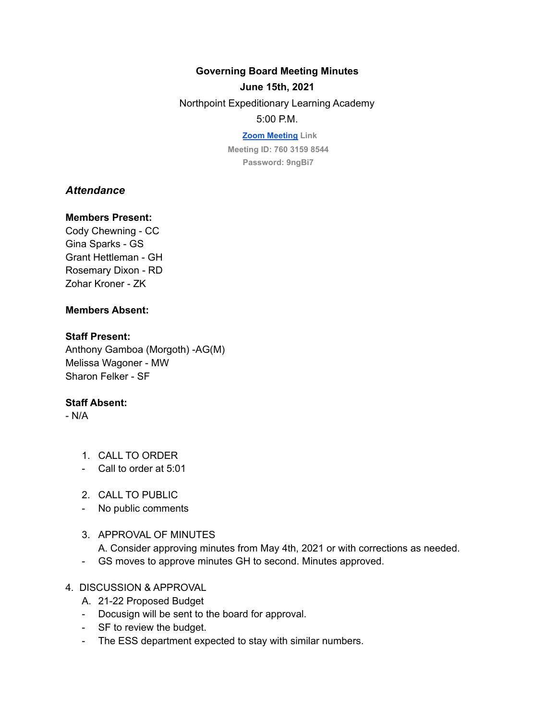#### **Governing Board Meeting Minutes**

#### **June 15th, 2021**

Northpoint Expeditionary Learning Academy

### 5:00 P.M.

**[Zoom Meeting](https://us04web.zoom.us/j/76031598544?pwd=L041eFJ0b3hNYmpFcnhYMHVJWkd0dz09) Link Meeting ID: 760 3159 8544 Password: 9ngBi7**

# *Attendance*

#### **Members Present:**

Cody Chewning - CC Gina Sparks - GS Grant Hettleman - GH Rosemary Dixon - RD Zohar Kroner - ZK

## **Members Absent:**

#### **Staff Present:**

Anthony Gamboa (Morgoth) -AG(M) Melissa Wagoner - MW Sharon Felker - SF

## **Staff Absent:**

- N/A

- 1. CALL TO ORDER
- Call to order at 5:01
- 2. CALL TO PUBLIC
- No public comments
- 3. APPROVAL OF MINUTES A. Consider approving minutes from May 4th, 2021 or with corrections as needed.
- GS moves to approve minutes GH to second. Minutes approved.

## 4. DISCUSSION & APPROVAL

- A. 21-22 Proposed Budget
- Docusign will be sent to the board for approval.
- SF to review the budget.
- The ESS department expected to stay with similar numbers.